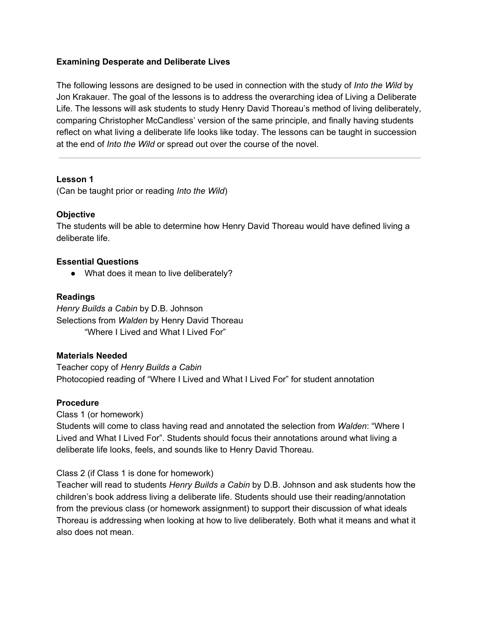# **Examining Desperate and Deliberate Lives**

The following lessons are designed to be used in connection with the study of *Into the Wild* by Jon Krakauer. The goal of the lessons is to address the overarching idea of Living a Deliberate Life. The lessons will ask students to study Henry David Thoreau's method of living deliberately, comparing Christopher McCandless' version of the same principle, and finally having students reflect on what living a deliberate life looks like today. The lessons can be taught in succession at the end of *Into the Wild* or spread out over the course of the novel.

## **Lesson 1**

(Can be taught prior or reading *Into the Wild*)

# **Objective**

The students will be able to determine how Henry David Thoreau would have defined living a deliberate life.

# **Essential Questions**

• What does it mean to live deliberately?

# **Readings**

*Henry Builds a Cabin* by D.B. Johnson Selections from *Walden* by Henry David Thoreau "Where I Lived and What I Lived For"

## **Materials Needed**

Teacher copy of *Henry Builds a Cabin* Photocopied reading of "Where I Lived and What I Lived For" for student annotation

## **Procedure**

Class 1 (or homework)

Students will come to class having read and annotated the selection from *Walden*: "Where I Lived and What I Lived For". Students should focus their annotations around what living a deliberate life looks, feels, and sounds like to Henry David Thoreau.

# Class 2 (if Class 1 is done for homework)

Teacher will read to students *Henry Builds a Cabin* by D.B. Johnson and ask students how the children's book address living a deliberate life. Students should use their reading/annotation from the previous class (or homework assignment) to support their discussion of what ideals Thoreau is addressing when looking at how to live deliberately. Both what it means and what it also does not mean.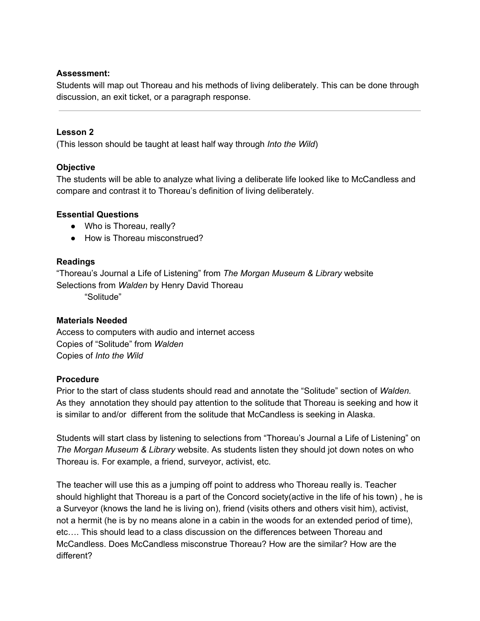## **Assessment:**

Students will map out Thoreau and his methods of living deliberately. This can be done through discussion, an exit ticket, or a paragraph response.

# **Lesson 2**

(This lesson should be taught at least half way through *Into the Wild*)

# **Objective**

The students will be able to analyze what living a deliberate life looked like to McCandless and compare and contrast it to Thoreau's definition of living deliberately.

# **Essential Questions**

- Who is Thoreau, really?
- How is Thoreau misconstrued?

# **Readings**

"Thoreau's Journal a Life of Listening" from *The Morgan Museum & Library* website Selections from *Walden* by Henry David Thoreau

"Solitude"

# **Materials Needed**

Access to computers with audio and internet access Copies of "Solitude" from *Walden* Copies of *Into the Wild*

## **Procedure**

Prior to the start of class students should read and annotate the "Solitude" section of *Walden.* As they annotation they should pay attention to the solitude that Thoreau is seeking and how it is similar to and/or different from the solitude that McCandless is seeking in Alaska.

Students will start class by listening to selections from "Thoreau's Journal a Life of Listening" on *The Morgan Museum & Library* website. As students listen they should jot down notes on who Thoreau is. For example, a friend, surveyor, activist, etc.

The teacher will use this as a jumping off point to address who Thoreau really is. Teacher should highlight that Thoreau is a part of the Concord society(active in the life of his town) , he is a Surveyor (knows the land he is living on), friend (visits others and others visit him), activist, not a hermit (he is by no means alone in a cabin in the woods for an extended period of time), etc…. This should lead to a class discussion on the differences between Thoreau and McCandless. Does McCandless misconstrue Thoreau? How are the similar? How are the different?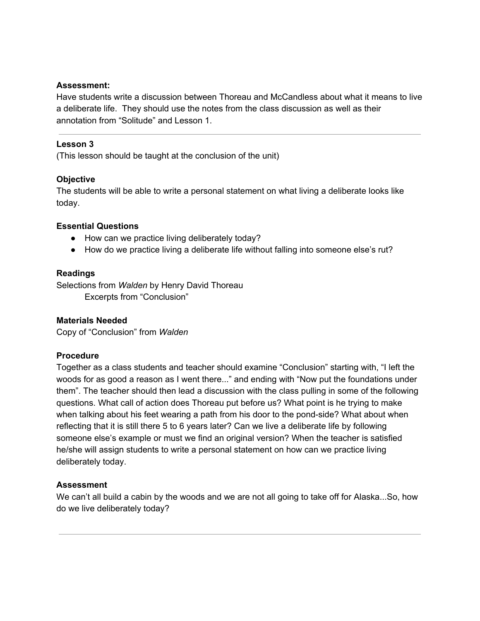## **Assessment:**

Have students write a discussion between Thoreau and McCandless about what it means to live a deliberate life. They should use the notes from the class discussion as well as their annotation from "Solitude" and Lesson 1.

### **Lesson 3**

(This lesson should be taught at the conclusion of the unit)

## **Objective**

The students will be able to write a personal statement on what living a deliberate looks like today.

### **Essential Questions**

- How can we practice living deliberately today?
- How do we practice living a deliberate life without falling into someone else's rut?

#### **Readings**

Selections from *Walden* by Henry David Thoreau Excerpts from "Conclusion"

## **Materials Needed**

Copy of "Conclusion" from *Walden*

## **Procedure**

Together as a class students and teacher should examine "Conclusion" starting with, "I left the woods for as good a reason as I went there..." and ending with "Now put the foundations under them". The teacher should then lead a discussion with the class pulling in some of the following questions. What call of action does Thoreau put before us? What point is he trying to make when talking about his feet wearing a path from his door to the pond-side? What about when reflecting that it is still there 5 to 6 years later? Can we live a deliberate life by following someone else's example or must we find an original version? When the teacher is satisfied he/she will assign students to write a personal statement on how can we practice living deliberately today.

## **Assessment**

We can't all build a cabin by the woods and we are not all going to take off for Alaska...So, how do we live deliberately today?